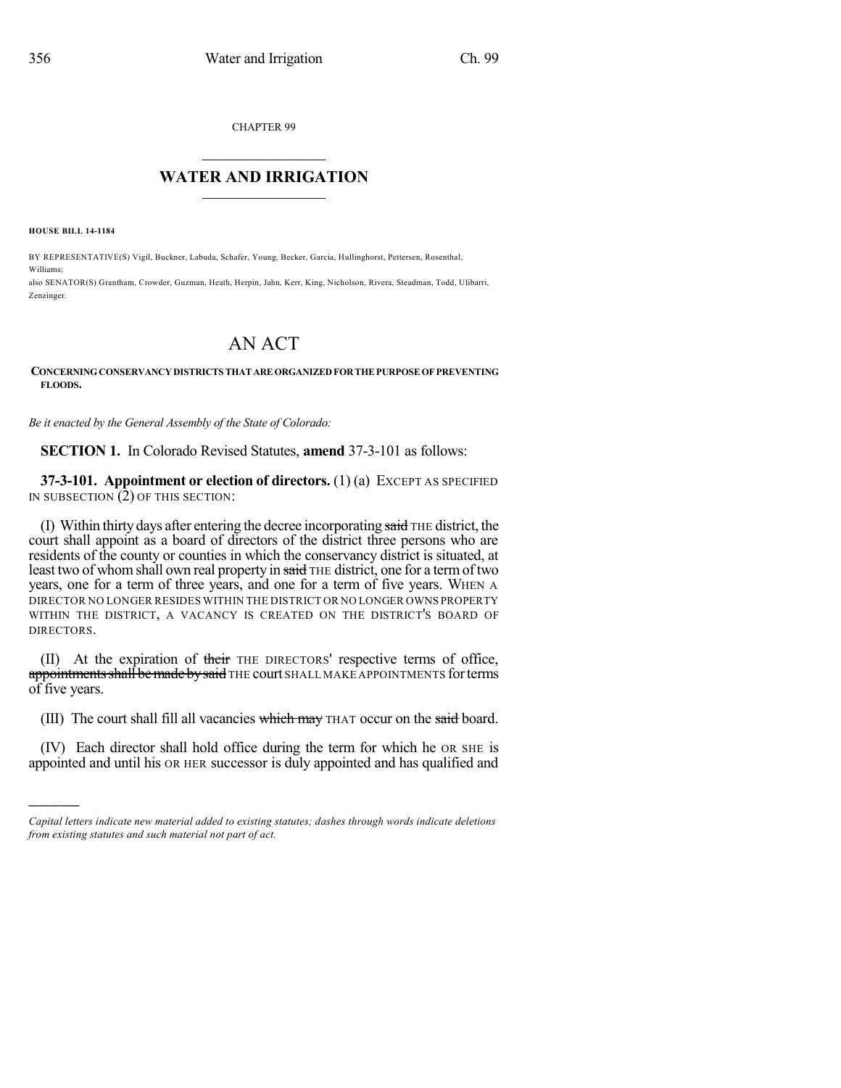CHAPTER 99

## $\overline{\phantom{a}}$  . The set of the set of the set of the set of the set of the set of the set of the set of the set of the set of the set of the set of the set of the set of the set of the set of the set of the set of the set o **WATER AND IRRIGATION**  $\_$   $\_$

**HOUSE BILL 14-1184**

)))))

BY REPRESENTATIVE(S) Vigil, Buckner, Labuda, Schafer, Young, Becker, Garcia, Hullinghorst, Pettersen, Rosenthal, Williams;

also SENATOR(S) Grantham, Crowder, Guzman, Heath, Herpin, Jahn, Kerr, King, Nicholson, Rivera, Steadman, Todd, Ulibarri, Zenzinger.

## AN ACT

## **CONCERNINGCONSERVANCY DISTRICTS THATAREORGANIZEDFORTHEPURPOSEOF PREVENTING FLOODS.**

*Be it enacted by the General Assembly of the State of Colorado:*

**SECTION 1.** In Colorado Revised Statutes, **amend** 37-3-101 as follows:

**37-3-101. Appointment or election of directors.** (1) (a) EXCEPT AS SPECIFIED IN SUBSECTION (2) OF THIS SECTION:

(I) Within thirty days after entering the decree incorporating said THE district, the court shall appoint as a board of directors of the district three persons who are residents of the county or counties in which the conservancy district is situated, at least two of whom shall own real property in said THE district, one for a term of two years, one for a term of three years, and one for a term of five years. WHEN A DIRECTOR NO LONGER RESIDES WITHIN THE DISTRICT OR NO LONGER OWNS PROPERTY WITHIN THE DISTRICT, A VACANCY IS CREATED ON THE DISTRICT'S BOARD OF DIRECTORS.

(II) At the expiration of their THE DIRECTORS' respective terms of office, appointments shall be made by said THE court SHALL MAKE APPOINTMENTS for terms of five years.

(III) The court shall fill all vacancies which may THAT occur on the said board.

(IV) Each director shall hold office during the term for which he OR SHE is appointed and until his OR HER successor is duly appointed and has qualified and

*Capital letters indicate new material added to existing statutes; dashes through words indicate deletions from existing statutes and such material not part of act.*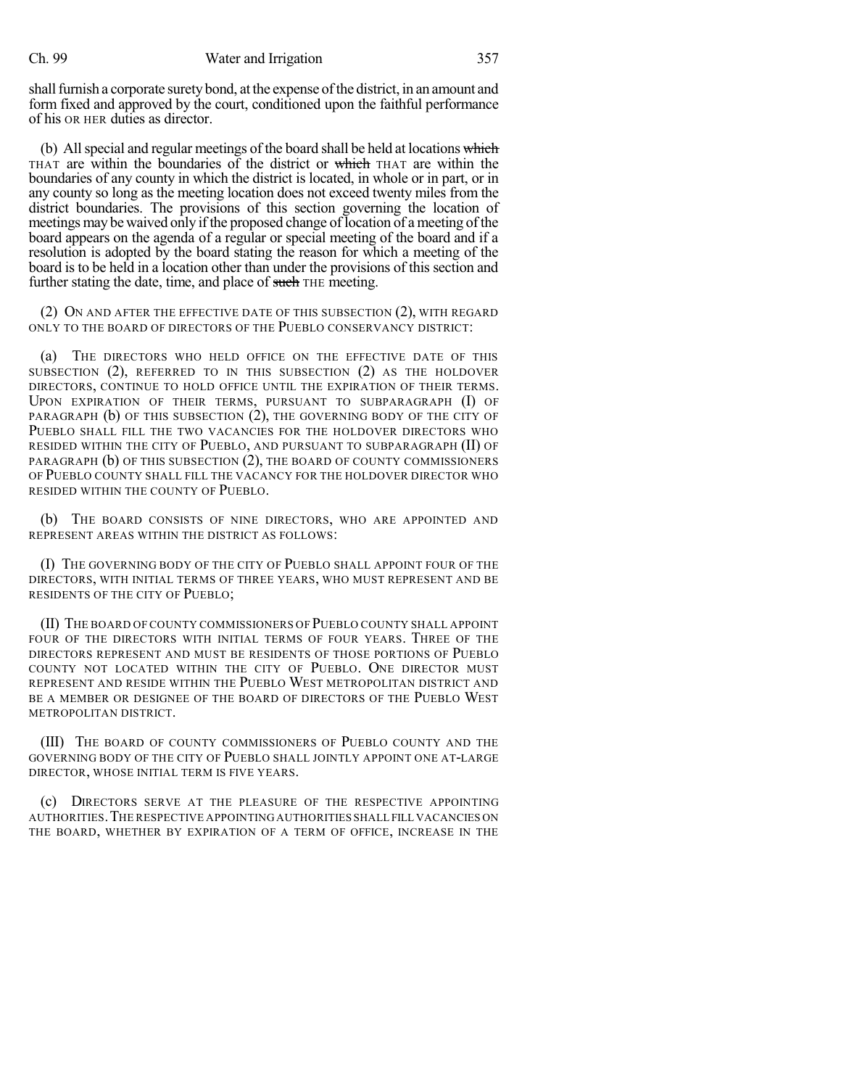shall furnish a corporate surety bond, at the expense of the district, in an amount and form fixed and approved by the court, conditioned upon the faithful performance of his OR HER duties as director.

(b) All special and regular meetings of the board shall be held at locations which THAT are within the boundaries of the district or which THAT are within the boundaries of any county in which the district is located, in whole or in part, or in any county so long as the meeting location does not exceed twenty miles from the district boundaries. The provisions of this section governing the location of meetings may be waived only if the proposed change of location of a meeting of the board appears on the agenda of a regular or special meeting of the board and if a resolution is adopted by the board stating the reason for which a meeting of the board is to be held in a location other than under the provisions of this section and further stating the date, time, and place of such THE meeting.

(2) ON AND AFTER THE EFFECTIVE DATE OF THIS SUBSECTION (2), WITH REGARD ONLY TO THE BOARD OF DIRECTORS OF THE PUEBLO CONSERVANCY DISTRICT:

(a) THE DIRECTORS WHO HELD OFFICE ON THE EFFECTIVE DATE OF THIS SUBSECTION (2), REFERRED TO IN THIS SUBSECTION (2) AS THE HOLDOVER DIRECTORS, CONTINUE TO HOLD OFFICE UNTIL THE EXPIRATION OF THEIR TERMS. UPON EXPIRATION OF THEIR TERMS, PURSUANT TO SUBPARAGRAPH (I) OF PARAGRAPH (b) OF THIS SUBSECTION (2), THE GOVERNING BODY OF THE CITY OF PUEBLO SHALL FILL THE TWO VACANCIES FOR THE HOLDOVER DIRECTORS WHO RESIDED WITHIN THE CITY OF PUEBLO, AND PURSUANT TO SUBPARAGRAPH (II) OF PARAGRAPH (b) OF THIS SUBSECTION (2), THE BOARD OF COUNTY COMMISSIONERS OF PUEBLO COUNTY SHALL FILL THE VACANCY FOR THE HOLDOVER DIRECTOR WHO RESIDED WITHIN THE COUNTY OF PUEBLO.

(b) THE BOARD CONSISTS OF NINE DIRECTORS, WHO ARE APPOINTED AND REPRESENT AREAS WITHIN THE DISTRICT AS FOLLOWS:

(I) THE GOVERNING BODY OF THE CITY OF PUEBLO SHALL APPOINT FOUR OF THE DIRECTORS, WITH INITIAL TERMS OF THREE YEARS, WHO MUST REPRESENT AND BE RESIDENTS OF THE CITY OF PUEBLO;

(II) THE BOARD OF COUNTY COMMISSIONERS OF PUEBLO COUNTY SHALL APPOINT FOUR OF THE DIRECTORS WITH INITIAL TERMS OF FOUR YEARS. THREE OF THE DIRECTORS REPRESENT AND MUST BE RESIDENTS OF THOSE PORTIONS OF PUEBLO COUNTY NOT LOCATED WITHIN THE CITY OF PUEBLO. ONE DIRECTOR MUST REPRESENT AND RESIDE WITHIN THE PUEBLO WEST METROPOLITAN DISTRICT AND BE A MEMBER OR DESIGNEE OF THE BOARD OF DIRECTORS OF THE PUEBLO WEST METROPOLITAN DISTRICT.

(III) THE BOARD OF COUNTY COMMISSIONERS OF PUEBLO COUNTY AND THE GOVERNING BODY OF THE CITY OF PUEBLO SHALL JOINTLY APPOINT ONE AT-LARGE DIRECTOR, WHOSE INITIAL TERM IS FIVE YEARS.

(c) DIRECTORS SERVE AT THE PLEASURE OF THE RESPECTIVE APPOINTING AUTHORITIES.THE RESPECTIVE APPOINTING AUTHORITIES SHALL FILL VACANCIES ON THE BOARD, WHETHER BY EXPIRATION OF A TERM OF OFFICE, INCREASE IN THE